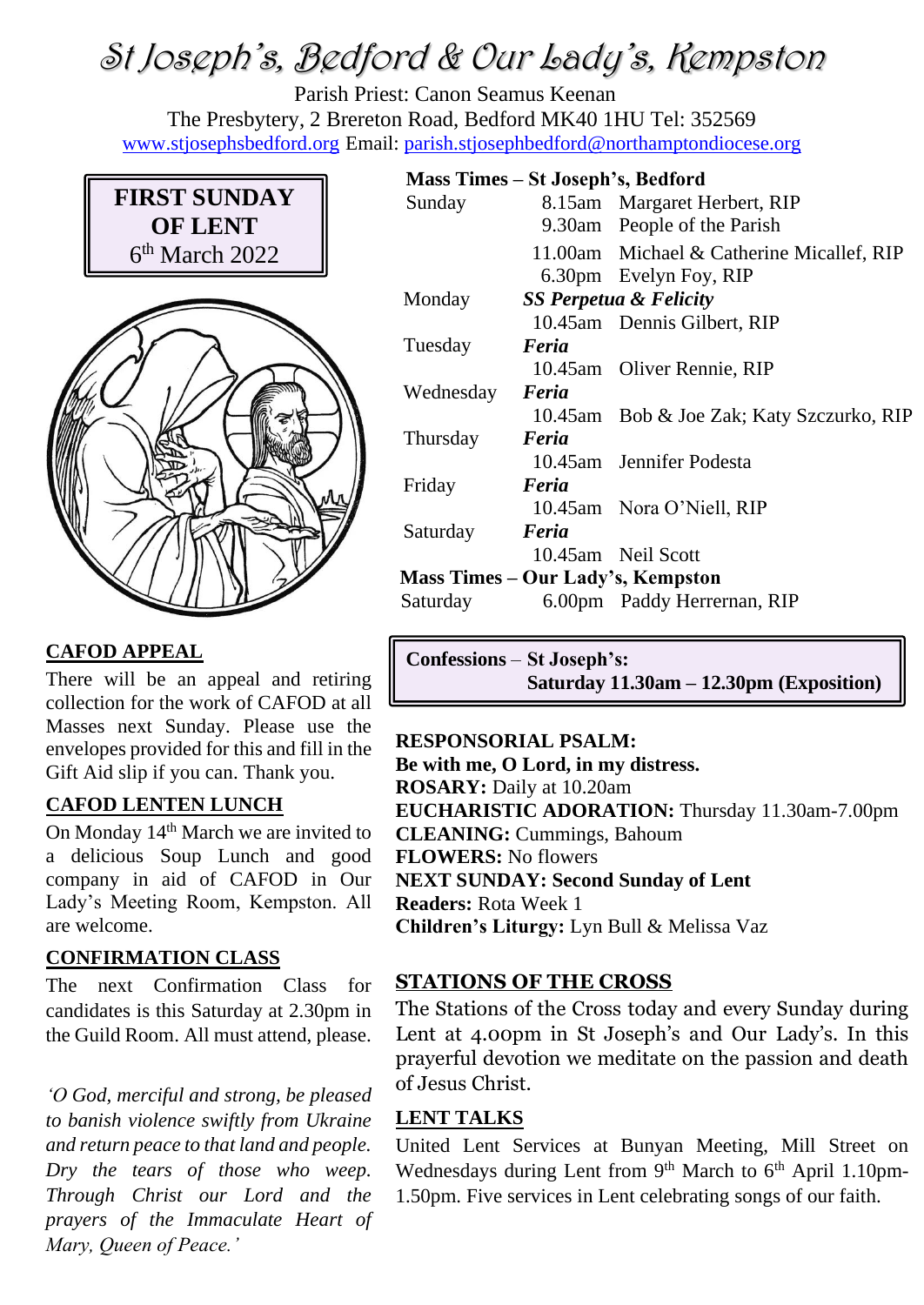# St Joseph's, Bedford & Our Lady's, Kempston

Parish Priest: Canon Seamus Keenan The Presbytery, 2 Brereton Road, Bedford MK40 1HU Tel: 352569 [www.stjosephsbedford.org](http://www.stjosephsbedford.org/) Email: [parish.stjosephbedford@northamptondiocese.org](mailto:parish.stjosephbedford@northamptondiocese.org)

# **FIRST SUNDAY OF LENT** 6 th March 2022



# **CAFOD APPEAL**

There will be an appeal and retiring collection for the work of CAFOD at all Masses next Sunday. Please use the envelopes provided for this and fill in the Gift Aid slip if you can. Thank you.

## **CAFOD LENTEN LUNCH**

On Monday 14th March we are invited to a delicious Soup Lunch and good company in aid of CAFOD in Our Lady's Meeting Room, Kempston. All are welcome.

## **CONFIRMATION CLASS**

The next Confirmation Class for candidates is this Saturday at 2.30pm in the Guild Room. All must attend, please.

*'O God, merciful and strong, be pleased to banish violence swiftly from Ukraine and return peace to that land and people. Dry the tears of those who weep. Through Christ our Lord and the prayers of the Immaculate Heart of Mary, Queen of Peace.'*

#### **Mass Times – St Joseph's, Bedford**

| Sunday                            |                                   | 8.15am Margaret Herbert, RIP              |
|-----------------------------------|-----------------------------------|-------------------------------------------|
|                                   |                                   | 9.30am People of the Parish               |
|                                   |                                   | 11.00am Michael & Catherine Micallef, RIP |
|                                   |                                   | 6.30pm Evelyn Foy, RIP                    |
| Monday                            | <b>SS Perpetua &amp; Felicity</b> |                                           |
|                                   |                                   | 10.45am Dennis Gilbert, RIP               |
| Tuesday                           | Feria                             |                                           |
|                                   |                                   | 10.45am Oliver Rennie, RIP                |
| Wednesday                         | Feria                             |                                           |
|                                   |                                   | 10.45am Bob & Joe Zak; Katy Szczurko, RIP |
| Thursday                          | Feria                             |                                           |
|                                   |                                   | 10.45am Jennifer Podesta                  |
| Friday                            | Feria                             |                                           |
|                                   |                                   | 10.45am Nora O'Niell, RIP                 |
| Saturday                          | Feria                             |                                           |
|                                   |                                   | 10.45am Neil Scott                        |
| Mass Times – Our Lady's, Kempston |                                   |                                           |
| Saturday                          |                                   | 6.00pm Paddy Herrernan, RIP               |
|                                   |                                   |                                           |

**Confessions** – **St Joseph's: Saturday 11.30am – 12.30pm (Exposition)**

#### **RESPONSORIAL PSALM:**

**Be with me, O Lord, in my distress. ROSARY:** Daily at 10.20am **EUCHARISTIC ADORATION:** Thursday 11.30am-7.00pm **CLEANING:** Cummings, Bahoum **FLOWERS:** No flowers **NEXT SUNDAY: Second Sunday of Lent Readers:** Rota Week 1 **Children's Liturgy:** Lyn Bull & Melissa Vaz

#### **STATIONS OF THE CROSS**

The Stations of the Cross today and every Sunday during Lent at 4.00pm in St Joseph's and Our Lady's. In this prayerful devotion we meditate on the passion and death of Jesus Christ.

#### **LENT TALKS**

United Lent Services at Bunyan Meeting, Mill Street on Wednesdays during Lent from  $9<sup>th</sup>$  March to  $6<sup>th</sup>$  April 1.10pm-1.50pm. Five services in Lent celebrating songs of our faith.